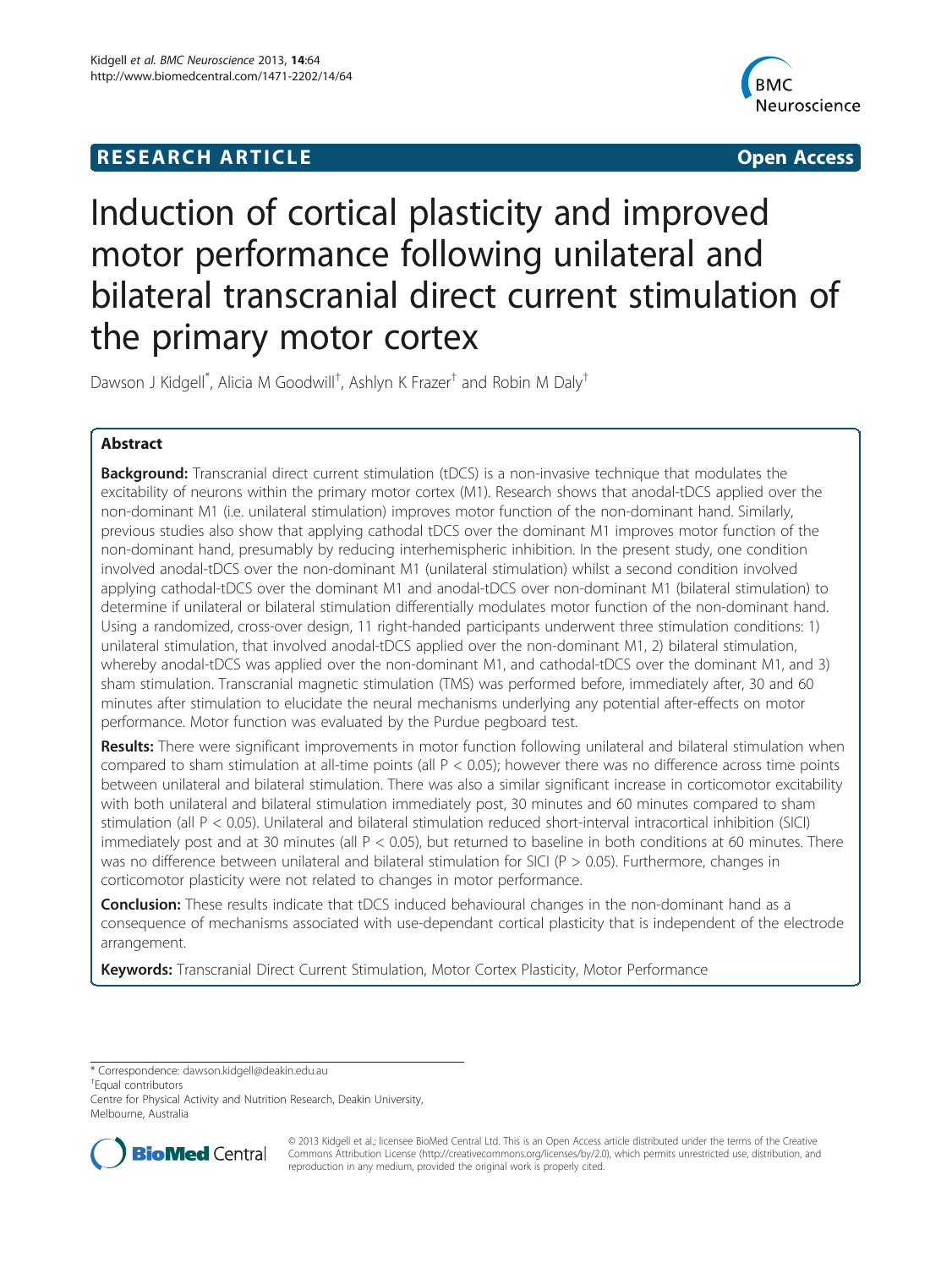## **RESEARCH ARTICLE CONSUMING A RESEARCH ARTICLE**



# Induction of cortical plasticity and improved motor performance following unilateral and bilateral transcranial direct current stimulation of the primary motor cortex

Dawson J Kidgell<sup>\*</sup>, Alicia M Goodwill<sup>†</sup>, Ashlyn K Frazer<sup>†</sup> and Robin M Daly<sup>†</sup>

## Abstract

**Background:** Transcranial direct current stimulation (tDCS) is a non-invasive technique that modulates the excitability of neurons within the primary motor cortex (M1). Research shows that anodal-tDCS applied over the non-dominant M1 (i.e. unilateral stimulation) improves motor function of the non-dominant hand. Similarly, previous studies also show that applying cathodal tDCS over the dominant M1 improves motor function of the non-dominant hand, presumably by reducing interhemispheric inhibition. In the present study, one condition involved anodal-tDCS over the non-dominant M1 (unilateral stimulation) whilst a second condition involved applying cathodal-tDCS over the dominant M1 and anodal-tDCS over non-dominant M1 (bilateral stimulation) to determine if unilateral or bilateral stimulation differentially modulates motor function of the non-dominant hand. Using a randomized, cross-over design, 11 right-handed participants underwent three stimulation conditions: 1) unilateral stimulation, that involved anodal-tDCS applied over the non-dominant M1, 2) bilateral stimulation, whereby anodal-tDCS was applied over the non-dominant M1, and cathodal-tDCS over the dominant M1, and 3) sham stimulation. Transcranial magnetic stimulation (TMS) was performed before, immediately after, 30 and 60 minutes after stimulation to elucidate the neural mechanisms underlying any potential after-effects on motor performance. Motor function was evaluated by the Purdue pegboard test.

Results: There were significant improvements in motor function following unilateral and bilateral stimulation when compared to sham stimulation at all-time points (all  $P < 0.05$ ); however there was no difference across time points between unilateral and bilateral stimulation. There was also a similar significant increase in corticomotor excitability with both unilateral and bilateral stimulation immediately post, 30 minutes and 60 minutes compared to sham stimulation (all P < 0.05). Unilateral and bilateral stimulation reduced short-interval intracortical inhibition (SICI) immediately post and at 30 minutes (all P < 0.05), but returned to baseline in both conditions at 60 minutes. There was no difference between unilateral and bilateral stimulation for SICI ( $P > 0.05$ ). Furthermore, changes in corticomotor plasticity were not related to changes in motor performance.

**Conclusion:** These results indicate that tDCS induced behavioural changes in the non-dominant hand as a consequence of mechanisms associated with use-dependant cortical plasticity that is independent of the electrode arrangement.

Keywords: Transcranial Direct Current Stimulation, Motor Cortex Plasticity, Motor Performance

\* Correspondence: [dawson.kidgell@deakin.edu.au](mailto:dawson.kidgell@deakin.edu.au) †

Equal contributors

Centre for Physical Activity and Nutrition Research, Deakin University, Melbourne, Australia



© 2013 Kidgell et al.; licensee BioMed Central Ltd. This is an Open Access article distributed under the terms of the Creative Commons Attribution License [\(http://creativecommons.org/licenses/by/2.0\)](http://creativecommons.org/licenses/by/2.0), which permits unrestricted use, distribution, and reproduction in any medium, provided the original work is properly cited.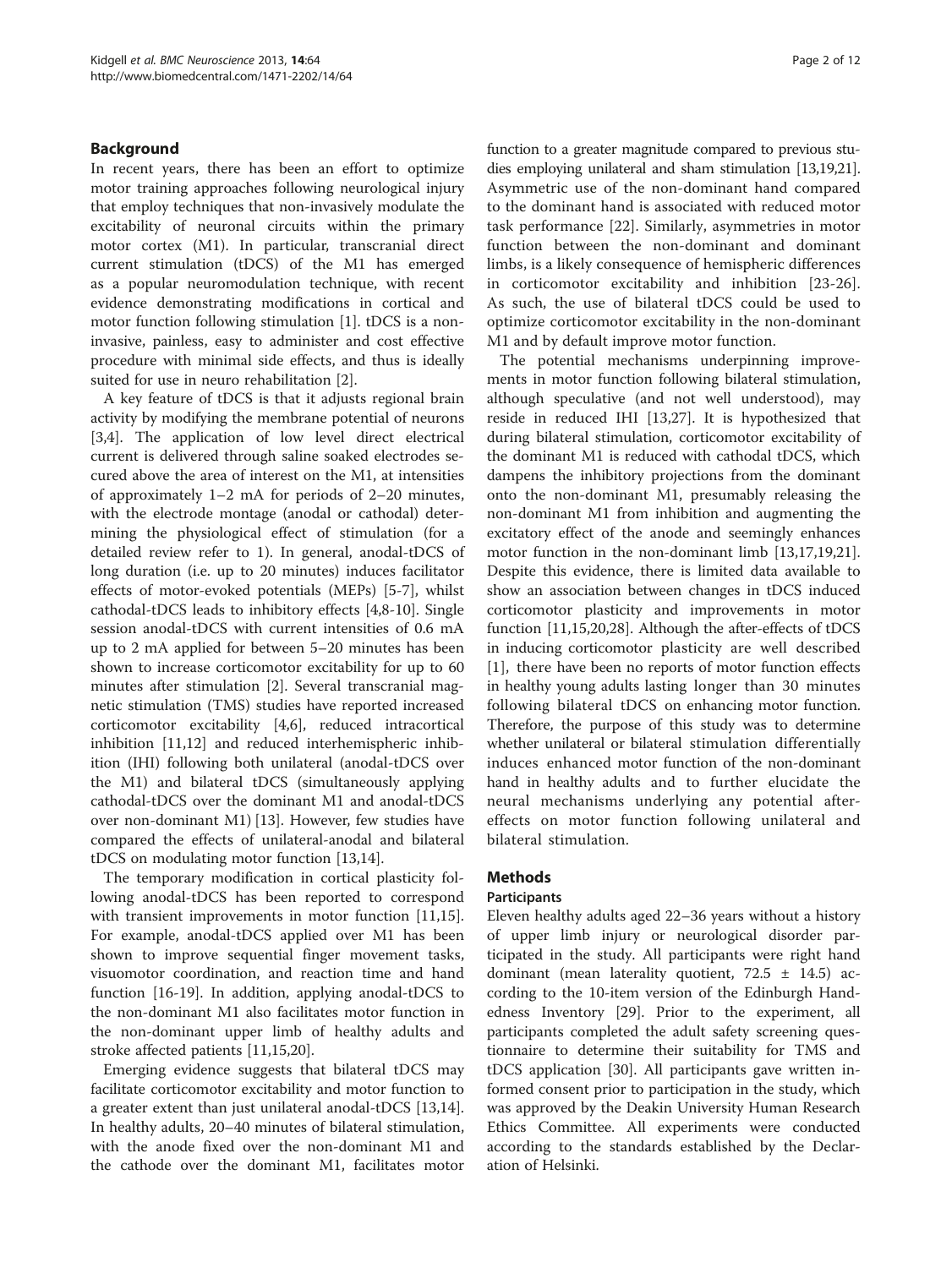#### Background

In recent years, there has been an effort to optimize motor training approaches following neurological injury that employ techniques that non-invasively modulate the excitability of neuronal circuits within the primary motor cortex (M1). In particular, transcranial direct current stimulation (tDCS) of the M1 has emerged as a popular neuromodulation technique, with recent evidence demonstrating modifications in cortical and motor function following stimulation [[1](#page-9-0)]. tDCS is a noninvasive, painless, easy to administer and cost effective procedure with minimal side effects, and thus is ideally suited for use in neuro rehabilitation [\[2](#page-9-0)].

A key feature of tDCS is that it adjusts regional brain activity by modifying the membrane potential of neurons [[3,4\]](#page-9-0). The application of low level direct electrical current is delivered through saline soaked electrodes secured above the area of interest on the M1, at intensities of approximately 1–2 mA for periods of 2–20 minutes, with the electrode montage (anodal or cathodal) determining the physiological effect of stimulation (for a detailed review refer to 1). In general, anodal-tDCS of long duration (i.e. up to 20 minutes) induces facilitator effects of motor-evoked potentials (MEPs) [\[5](#page-9-0)-[7\]](#page-9-0), whilst cathodal-tDCS leads to inhibitory effects [[4,8-10](#page-9-0)]. Single session anodal-tDCS with current intensities of 0.6 mA up to 2 mA applied for between 5–20 minutes has been shown to increase corticomotor excitability for up to 60 minutes after stimulation [[2\]](#page-9-0). Several transcranial magnetic stimulation (TMS) studies have reported increased corticomotor excitability [\[4,6](#page-9-0)], reduced intracortical inhibition [[11](#page-9-0),[12](#page-9-0)] and reduced interhemispheric inhibition (IHI) following both unilateral (anodal-tDCS over the M1) and bilateral tDCS (simultaneously applying cathodal-tDCS over the dominant M1 and anodal-tDCS over non-dominant M1) [[13](#page-10-0)]. However, few studies have compared the effects of unilateral-anodal and bilateral tDCS on modulating motor function [\[13,14](#page-10-0)].

The temporary modification in cortical plasticity following anodal-tDCS has been reported to correspond with transient improvements in motor function [\[11](#page-9-0)[,15](#page-10-0)]. For example, anodal-tDCS applied over M1 has been shown to improve sequential finger movement tasks, visuomotor coordination, and reaction time and hand function [[16-19\]](#page-10-0). In addition, applying anodal-tDCS to the non-dominant M1 also facilitates motor function in the non-dominant upper limb of healthy adults and stroke affected patients [[11,](#page-9-0)[15,20\]](#page-10-0).

Emerging evidence suggests that bilateral tDCS may facilitate corticomotor excitability and motor function to a greater extent than just unilateral anodal-tDCS [\[13,14](#page-10-0)]. In healthy adults, 20–40 minutes of bilateral stimulation, with the anode fixed over the non-dominant M1 and the cathode over the dominant M1, facilitates motor function to a greater magnitude compared to previous studies employing unilateral and sham stimulation [\[13,19,21](#page-10-0)]. Asymmetric use of the non-dominant hand compared to the dominant hand is associated with reduced motor task performance [\[22](#page-10-0)]. Similarly, asymmetries in motor function between the non-dominant and dominant limbs, is a likely consequence of hemispheric differences in corticomotor excitability and inhibition [\[23](#page-10-0)-[26](#page-10-0)]. As such, the use of bilateral tDCS could be used to optimize corticomotor excitability in the non-dominant M1 and by default improve motor function.

The potential mechanisms underpinning improvements in motor function following bilateral stimulation, although speculative (and not well understood), may reside in reduced IHI [\[13,27\]](#page-10-0). It is hypothesized that during bilateral stimulation, corticomotor excitability of the dominant M1 is reduced with cathodal tDCS, which dampens the inhibitory projections from the dominant onto the non-dominant M1, presumably releasing the non-dominant M1 from inhibition and augmenting the excitatory effect of the anode and seemingly enhances motor function in the non-dominant limb [[13](#page-10-0),[17,19,21](#page-10-0)]. Despite this evidence, there is limited data available to show an association between changes in tDCS induced corticomotor plasticity and improvements in motor function [\[11](#page-9-0)[,15,20,28](#page-10-0)]. Although the after-effects of tDCS in inducing corticomotor plasticity are well described [[1](#page-9-0)], there have been no reports of motor function effects in healthy young adults lasting longer than 30 minutes following bilateral tDCS on enhancing motor function. Therefore, the purpose of this study was to determine whether unilateral or bilateral stimulation differentially induces enhanced motor function of the non-dominant hand in healthy adults and to further elucidate the neural mechanisms underlying any potential aftereffects on motor function following unilateral and bilateral stimulation.

## Methods

#### Participants

Eleven healthy adults aged 22–36 years without a history of upper limb injury or neurological disorder participated in the study. All participants were right hand dominant (mean laterality quotient,  $72.5 \pm 14.5$ ) according to the 10-item version of the Edinburgh Handedness Inventory [\[29](#page-10-0)]. Prior to the experiment, all participants completed the adult safety screening questionnaire to determine their suitability for TMS and tDCS application [[30](#page-10-0)]. All participants gave written informed consent prior to participation in the study, which was approved by the Deakin University Human Research Ethics Committee. All experiments were conducted according to the standards established by the Declaration of Helsinki.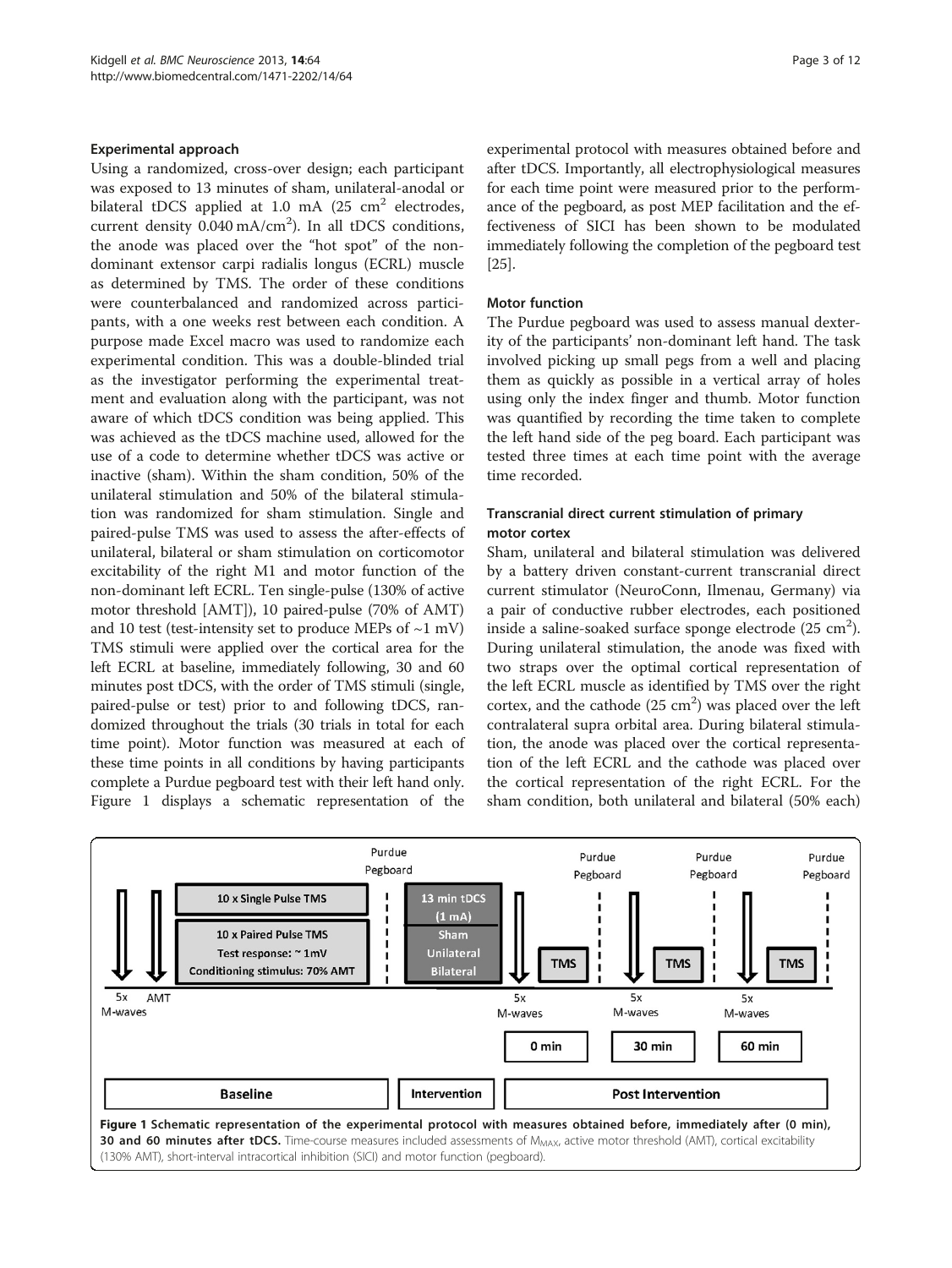#### Experimental approach

Using a randomized, cross-over design; each participant was exposed to 13 minutes of sham, unilateral-anodal or bilateral tDCS applied at 1.0 mA  $(25 \text{ cm}^2 \text{ electrodes},$ current density  $0.040 \text{ mA/cm}^2$ ). In all tDCS conditions, the anode was placed over the "hot spot" of the nondominant extensor carpi radialis longus (ECRL) muscle as determined by TMS. The order of these conditions were counterbalanced and randomized across participants, with a one weeks rest between each condition. A purpose made Excel macro was used to randomize each experimental condition. This was a double-blinded trial as the investigator performing the experimental treatment and evaluation along with the participant, was not aware of which tDCS condition was being applied. This was achieved as the tDCS machine used, allowed for the use of a code to determine whether tDCS was active or inactive (sham). Within the sham condition, 50% of the unilateral stimulation and 50% of the bilateral stimulation was randomized for sham stimulation. Single and paired-pulse TMS was used to assess the after-effects of unilateral, bilateral or sham stimulation on corticomotor excitability of the right M1 and motor function of the non-dominant left ECRL. Ten single-pulse (130% of active motor threshold [AMT]), 10 paired-pulse (70% of AMT) and 10 test (test-intensity set to produce MEPs of  $\sim$ 1 mV) TMS stimuli were applied over the cortical area for the left ECRL at baseline, immediately following, 30 and 60 minutes post tDCS, with the order of TMS stimuli (single, paired-pulse or test) prior to and following tDCS, randomized throughout the trials (30 trials in total for each time point). Motor function was measured at each of these time points in all conditions by having participants complete a Purdue pegboard test with their left hand only. Figure 1 displays a schematic representation of the

experimental protocol with measures obtained before and after tDCS. Importantly, all electrophysiological measures for each time point were measured prior to the performance of the pegboard, as post MEP facilitation and the effectiveness of SICI has been shown to be modulated immediately following the completion of the pegboard test [[25](#page-10-0)].

#### Motor function

The Purdue pegboard was used to assess manual dexterity of the participants' non-dominant left hand. The task involved picking up small pegs from a well and placing them as quickly as possible in a vertical array of holes using only the index finger and thumb. Motor function was quantified by recording the time taken to complete the left hand side of the peg board. Each participant was tested three times at each time point with the average time recorded.

## Transcranial direct current stimulation of primary motor cortex

Sham, unilateral and bilateral stimulation was delivered by a battery driven constant-current transcranial direct current stimulator (NeuroConn, Ilmenau, Germany) via a pair of conductive rubber electrodes, each positioned inside a saline-soaked surface sponge electrode  $(25 \text{ cm}^2)$ . During unilateral stimulation, the anode was fixed with two straps over the optimal cortical representation of the left ECRL muscle as identified by TMS over the right cortex, and the cathode  $(25 \text{ cm}^2)$  was placed over the left contralateral supra orbital area. During bilateral stimulation, the anode was placed over the cortical representation of the left ECRL and the cathode was placed over the cortical representation of the right ECRL. For the sham condition, both unilateral and bilateral (50% each)

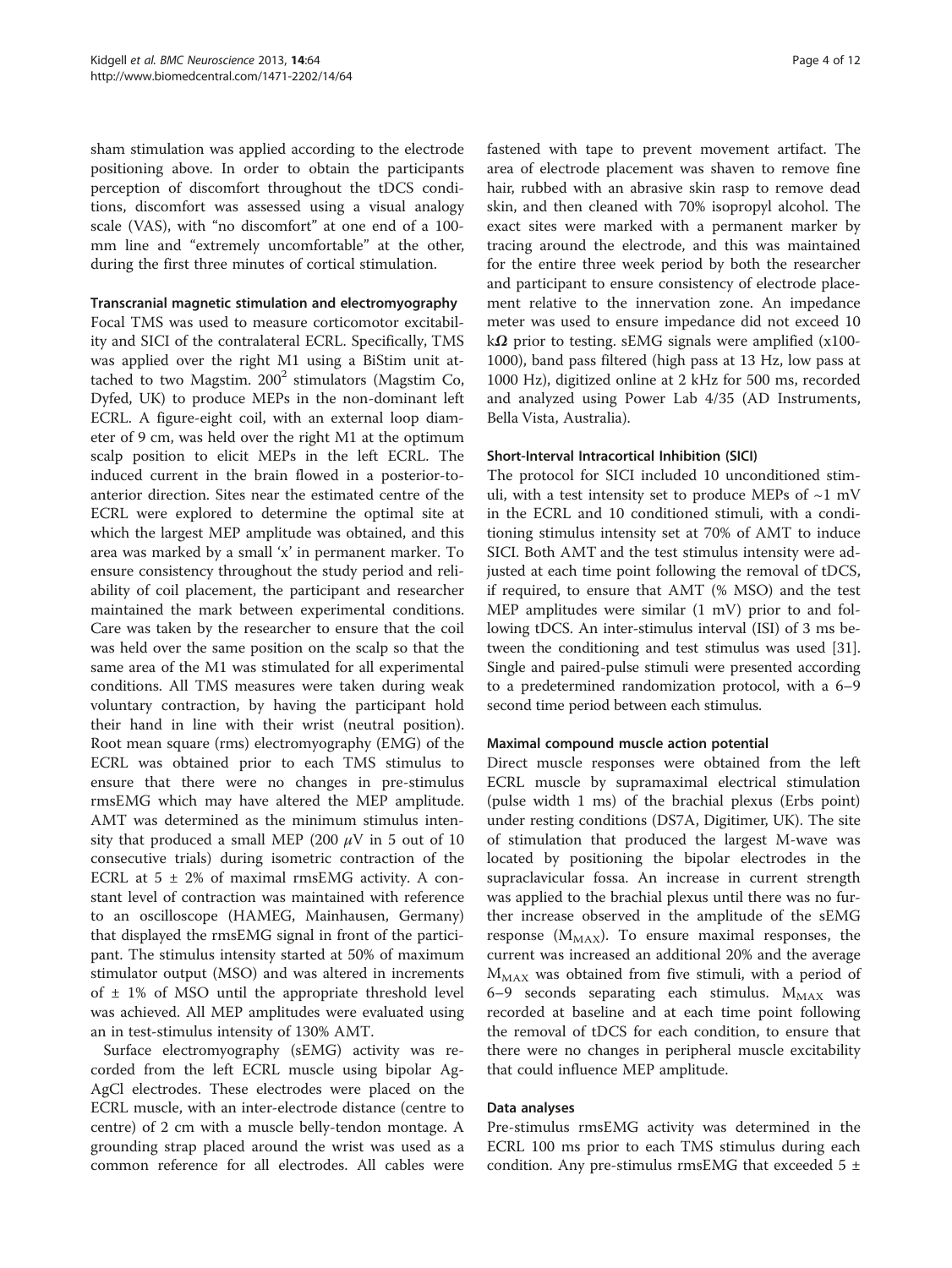sham stimulation was applied according to the electrode positioning above. In order to obtain the participants perception of discomfort throughout the tDCS conditions, discomfort was assessed using a visual analogy scale (VAS), with "no discomfort" at one end of a 100 mm line and "extremely uncomfortable" at the other, during the first three minutes of cortical stimulation.

#### Transcranial magnetic stimulation and electromyography

Focal TMS was used to measure corticomotor excitability and SICI of the contralateral ECRL. Specifically, TMS was applied over the right M1 using a BiStim unit attached to two Magstim.  $200^2$  stimulators (Magstim Co, Dyfed, UK) to produce MEPs in the non-dominant left ECRL. A figure-eight coil, with an external loop diameter of 9 cm, was held over the right M1 at the optimum scalp position to elicit MEPs in the left ECRL. The induced current in the brain flowed in a posterior-toanterior direction. Sites near the estimated centre of the ECRL were explored to determine the optimal site at which the largest MEP amplitude was obtained, and this area was marked by a small 'x' in permanent marker. To ensure consistency throughout the study period and reliability of coil placement, the participant and researcher maintained the mark between experimental conditions. Care was taken by the researcher to ensure that the coil was held over the same position on the scalp so that the same area of the M1 was stimulated for all experimental conditions. All TMS measures were taken during weak voluntary contraction, by having the participant hold their hand in line with their wrist (neutral position). Root mean square (rms) electromyography (EMG) of the ECRL was obtained prior to each TMS stimulus to ensure that there were no changes in pre-stimulus rmsEMG which may have altered the MEP amplitude. AMT was determined as the minimum stimulus intensity that produced a small MEP (200  $\mu$ V in 5 out of 10 consecutive trials) during isometric contraction of the ECRL at  $5 \pm 2\%$  of maximal rmsEMG activity. A constant level of contraction was maintained with reference to an oscilloscope (HAMEG, Mainhausen, Germany) that displayed the rmsEMG signal in front of the participant. The stimulus intensity started at 50% of maximum stimulator output (MSO) and was altered in increments of  $\pm$  1% of MSO until the appropriate threshold level was achieved. All MEP amplitudes were evaluated using an in test-stimulus intensity of 130% AMT.

Surface electromyography (sEMG) activity was recorded from the left ECRL muscle using bipolar Ag-AgCl electrodes. These electrodes were placed on the ECRL muscle, with an inter-electrode distance (centre to centre) of 2 cm with a muscle belly-tendon montage. A grounding strap placed around the wrist was used as a common reference for all electrodes. All cables were

fastened with tape to prevent movement artifact. The area of electrode placement was shaven to remove fine hair, rubbed with an abrasive skin rasp to remove dead skin, and then cleaned with 70% isopropyl alcohol. The exact sites were marked with a permanent marker by tracing around the electrode, and this was maintained for the entire three week period by both the researcher and participant to ensure consistency of electrode placement relative to the innervation zone. An impedance meter was used to ensure impedance did not exceed 10 k $\Omega$  prior to testing. sEMG signals were amplified (x100-1000), band pass filtered (high pass at 13 Hz, low pass at 1000 Hz), digitized online at 2 kHz for 500 ms, recorded and analyzed using Power Lab 4/35 (AD Instruments, Bella Vista, Australia).

#### Short-Interval Intracortical Inhibition (SICI)

The protocol for SICI included 10 unconditioned stimuli, with a test intensity set to produce MEPs of  $\sim$ 1 mV in the ECRL and 10 conditioned stimuli, with a conditioning stimulus intensity set at 70% of AMT to induce SICI. Both AMT and the test stimulus intensity were adjusted at each time point following the removal of tDCS, if required, to ensure that AMT (% MSO) and the test MEP amplitudes were similar (1 mV) prior to and following tDCS. An inter-stimulus interval (ISI) of 3 ms between the conditioning and test stimulus was used [[31](#page-10-0)]. Single and paired-pulse stimuli were presented according to a predetermined randomization protocol, with a 6–9 second time period between each stimulus.

#### Maximal compound muscle action potential

Direct muscle responses were obtained from the left ECRL muscle by supramaximal electrical stimulation (pulse width 1 ms) of the brachial plexus (Erbs point) under resting conditions (DS7A, Digitimer, UK). The site of stimulation that produced the largest M-wave was located by positioning the bipolar electrodes in the supraclavicular fossa. An increase in current strength was applied to the brachial plexus until there was no further increase observed in the amplitude of the sEMG response ( $M_{MAX}$ ). To ensure maximal responses, the current was increased an additional 20% and the average  $M_{MAX}$  was obtained from five stimuli, with a period of 6–9 seconds separating each stimulus.  $M_{MAX}$  was recorded at baseline and at each time point following the removal of tDCS for each condition, to ensure that there were no changes in peripheral muscle excitability that could influence MEP amplitude.

#### Data analyses

Pre-stimulus rmsEMG activity was determined in the ECRL 100 ms prior to each TMS stimulus during each condition. Any pre-stimulus rmsEMG that exceeded  $5 \pm$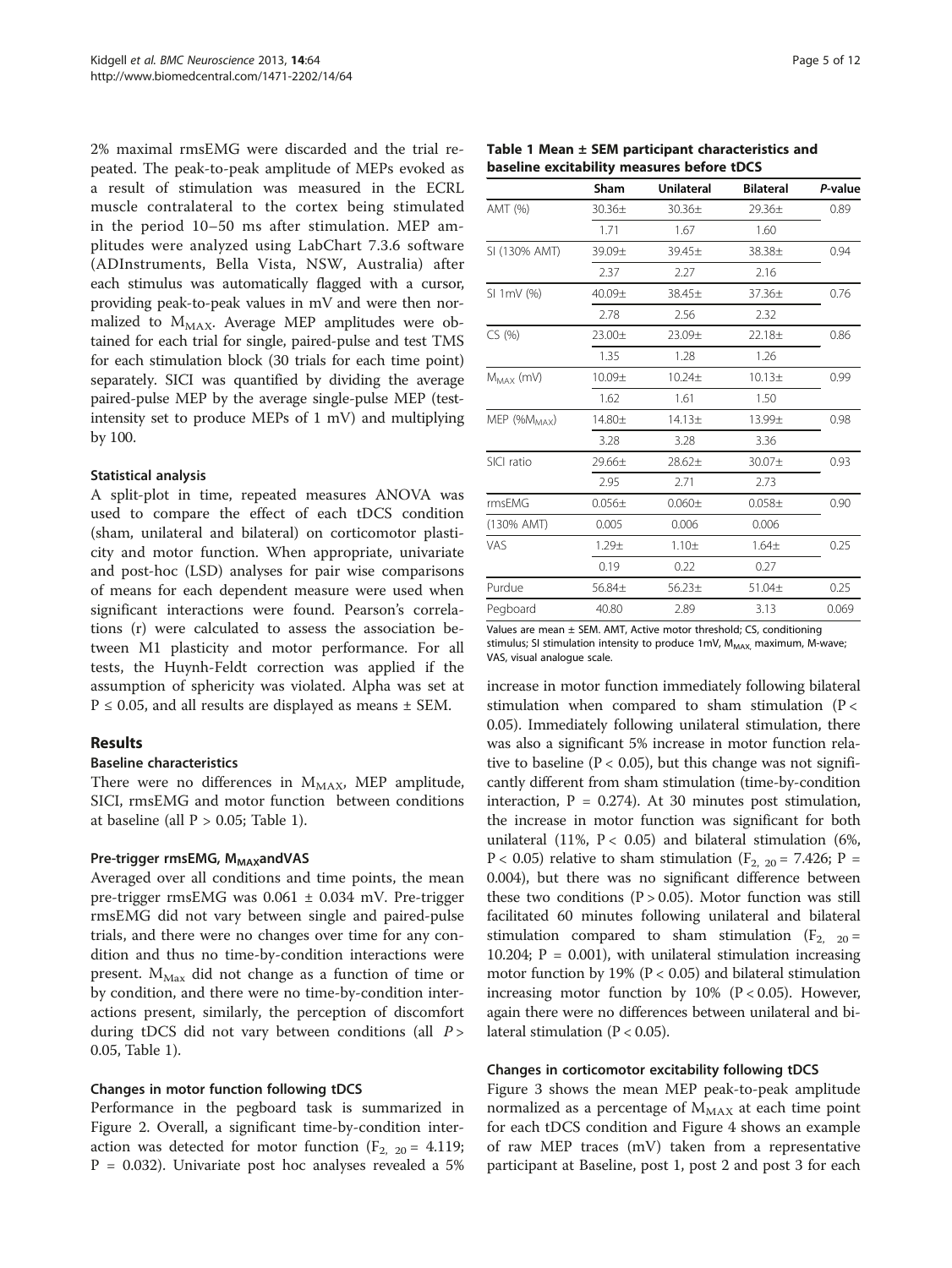2% maximal rmsEMG were discarded and the trial repeated. The peak-to-peak amplitude of MEPs evoked as a result of stimulation was measured in the ECRL muscle contralateral to the cortex being stimulated in the period 10–50 ms after stimulation. MEP amplitudes were analyzed using LabChart 7.3.6 software (ADInstruments, Bella Vista, NSW, Australia) after each stimulus was automatically flagged with a cursor, providing peak-to-peak values in mV and were then normalized to M<sub>MAX</sub>. Average MEP amplitudes were obtained for each trial for single, paired-pulse and test TMS for each stimulation block (30 trials for each time point) separately. SICI was quantified by dividing the average paired-pulse MEP by the average single-pulse MEP (testintensity set to produce MEPs of 1 mV) and multiplying by 100.

#### Statistical analysis

A split-plot in time, repeated measures ANOVA was used to compare the effect of each tDCS condition (sham, unilateral and bilateral) on corticomotor plasticity and motor function. When appropriate, univariate and post-hoc (LSD) analyses for pair wise comparisons of means for each dependent measure were used when significant interactions were found. Pearson's correlations (r) were calculated to assess the association between M1 plasticity and motor performance. For all tests, the Huynh-Feldt correction was applied if the assumption of sphericity was violated. Alpha was set at  $P \le 0.05$ , and all results are displayed as means  $\pm$  SEM.

#### Results

## Baseline characteristics

There were no differences in  $M_{MAX}$ , MEP amplitude, SICI, rmsEMG and motor function between conditions at baseline (all  $P > 0.05$ ; Table 1).

#### Pre-trigger rmsEMG, M<sub>MAX</sub>andVAS

Averaged over all conditions and time points, the mean pre-trigger rmsEMG was 0.061 ± 0.034 mV. Pre-trigger rmsEMG did not vary between single and paired-pulse trials, and there were no changes over time for any condition and thus no time-by-condition interactions were present.  $M_{\text{Max}}$  did not change as a function of time or by condition, and there were no time-by-condition interactions present, similarly, the perception of discomfort during tDCS did not vary between conditions (all P > 0.05, Table 1).

#### Changes in motor function following tDCS

Performance in the pegboard task is summarized in Figure [2.](#page-5-0) Overall, a significant time-by-condition interaction was detected for motor function  $(F_{2, 20} = 4.119)$ ;  $P = 0.032$ ). Univariate post hoc analyses revealed a 5%

| Page 5 of 12 |  |  |
|--------------|--|--|
|--------------|--|--|

|                          | Sham               | <b>Unilateral</b> | <b>Bilateral</b>   | P-value |
|--------------------------|--------------------|-------------------|--------------------|---------|
| AMT (%)                  | $30.36+$           | $30.36 \pm$       | 29.36 <sub>±</sub> | 0.89    |
|                          | 1.71               | 1.67              | 1.60               |         |
| SI (130% AMT)            | 39.09±             | 39.45±            | 38.38±             | 0.94    |
|                          | 2.37               | 2.27              | 2.16               |         |
| SI 1mV (%)               | 40.09±             | 38.45±            | 37.36±             | 0.76    |
|                          | 2.78               | 2.56              | 2.32               |         |
| CS(% )                   | 23.00±             | 23.09±            | 22.18±             | 0.86    |
|                          | 1.35               | 1.28              | 1.26               |         |
| $M_{MAX}$ (mV)           | 10.09 <sub>±</sub> | $10.24 +$         | 10.13±             | 0.99    |
|                          | 1.62               | 1.61              | 1.50               |         |
| MEP (%M <sub>MAX</sub> ) | 14.80±             | $14.13+$          | 13.99±             | 0.98    |
|                          | 3.28               | 3.28              | 3.36               |         |
| SICI ratio               | $29.66 \pm$        | $28.62+$          | 30.07±             | 0.93    |
|                          | 2.95               | 2.71              | 2.73               |         |
| rmsEMG                   | $0.056 \pm$        | $0.060 \pm$       | $0.058 +$          | 0.90    |
| (130% AMT)               | 0.005              | 0.006             | 0.006              |         |
| VAS                      | $1.29 +$           | $1.10 +$          | 1.64 <sub>±</sub>  | 0.25    |
|                          | 0.19               | 0.22              | 0.27               |         |
| Purdue                   | 56.84±             | $56.23 \pm$       | 51.04±             | 0.25    |
| Pegboard                 | 40.80              | 2.89              | 3.13               | 0.069   |

Table 1 Mean ± SEM participant characteristics and baseline excitability measures before tDCS

Values are mean  $\pm$  SEM. AMT, Active motor threshold; CS, conditioning stimulus; SI stimulation intensity to produce 1mV, M<sub>MAX,</sub> maximum, M-wave; VAS, visual analogue scale.

increase in motor function immediately following bilateral stimulation when compared to sham stimulation ( $P <$ 0.05). Immediately following unilateral stimulation, there was also a significant 5% increase in motor function relative to baseline ( $P < 0.05$ ), but this change was not significantly different from sham stimulation (time-by-condition interaction,  $P = 0.274$ ). At 30 minutes post stimulation, the increase in motor function was significant for both unilateral (11%,  $P < 0.05$ ) and bilateral stimulation (6%,  $P < 0.05$ ) relative to sham stimulation ( $F_{2, 20} = 7.426$ ;  $P =$ 0.004), but there was no significant difference between these two conditions ( $P > 0.05$ ). Motor function was still facilitated 60 minutes following unilateral and bilateral stimulation compared to sham stimulation ( $F_{2, 20}$  = 10.204;  $P = 0.001$ ), with unilateral stimulation increasing motor function by 19% ( $P < 0.05$ ) and bilateral stimulation increasing motor function by  $10\%$  (P < 0.05). However, again there were no differences between unilateral and bilateral stimulation ( $P < 0.05$ ).

#### Changes in corticomotor excitability following tDCS

Figure [3](#page-5-0) shows the mean MEP peak-to-peak amplitude normalized as a percentage of  $M_{MAX}$  at each time point for each tDCS condition and Figure [4](#page-6-0) shows an example of raw MEP traces (mV) taken from a representative participant at Baseline, post 1, post 2 and post 3 for each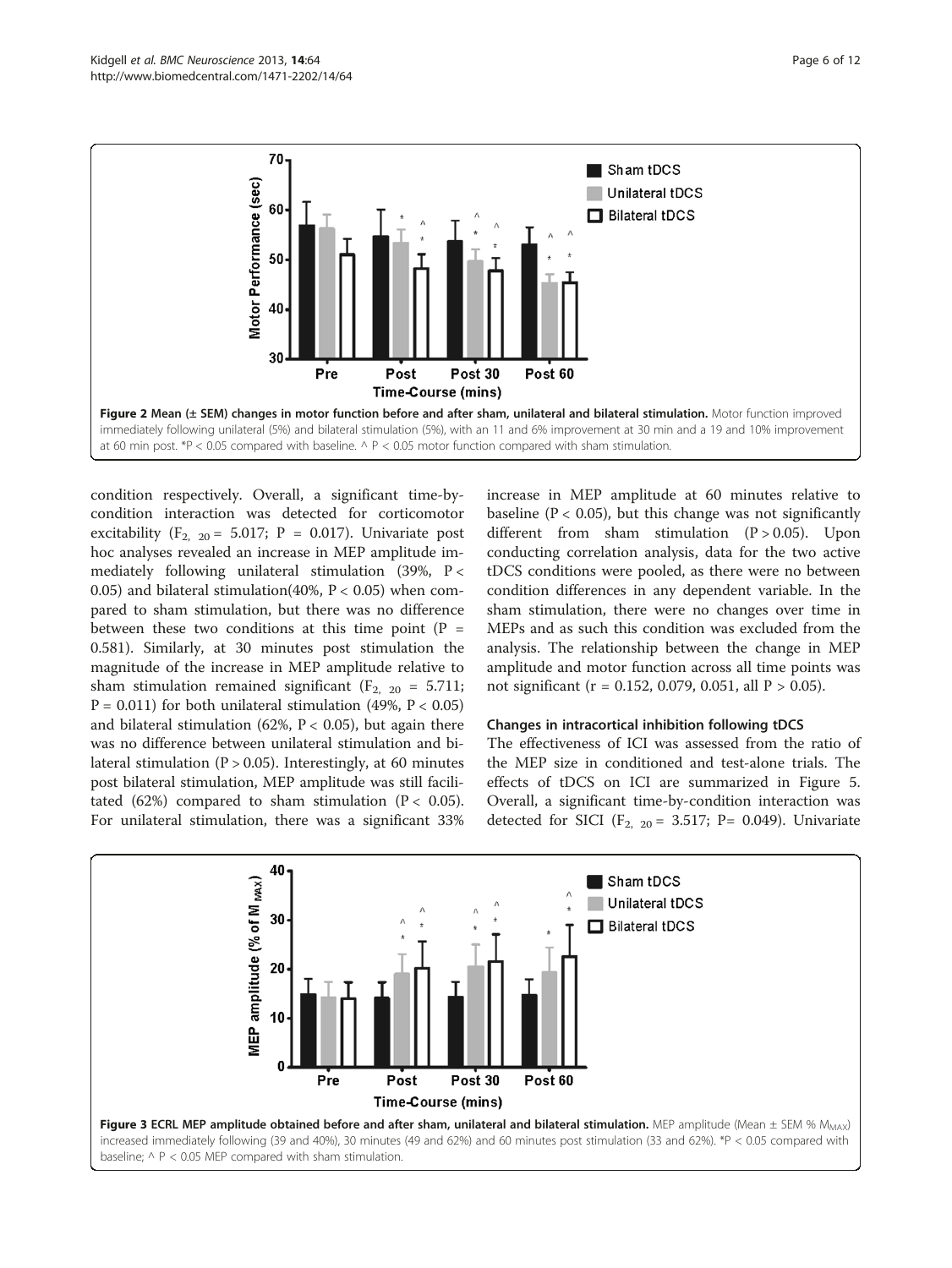<span id="page-5-0"></span>

condition respectively. Overall, a significant time-bycondition interaction was detected for corticomotor excitability ( $F_{2, 20} = 5.017$ ; P = 0.017). Univariate post hoc analyses revealed an increase in MEP amplitude immediately following unilateral stimulation  $(39\%, P <$ 0.05) and bilateral stimulation(40%,  $P < 0.05$ ) when compared to sham stimulation, but there was no difference between these two conditions at this time point  $(P =$ 0.581). Similarly, at 30 minutes post stimulation the magnitude of the increase in MEP amplitude relative to sham stimulation remained significant ( $F_{2, 20} = 5.711$ ;  $P = 0.011$ ) for both unilateral stimulation (49%,  $P < 0.05$ ) and bilateral stimulation (62%,  $P < 0.05$ ), but again there was no difference between unilateral stimulation and bilateral stimulation ( $P > 0.05$ ). Interestingly, at 60 minutes post bilateral stimulation, MEP amplitude was still facilitated (62%) compared to sham stimulation ( $P < 0.05$ ). For unilateral stimulation, there was a significant 33%

increase in MEP amplitude at 60 minutes relative to baseline ( $P < 0.05$ ), but this change was not significantly different from sham stimulation  $(P > 0.05)$ . Upon conducting correlation analysis, data for the two active tDCS conditions were pooled, as there were no between condition differences in any dependent variable. In the sham stimulation, there were no changes over time in MEPs and as such this condition was excluded from the analysis. The relationship between the change in MEP amplitude and motor function across all time points was not significant ( $r = 0.152$ , 0.079, 0.051, all  $P > 0.05$ ).

#### Changes in intracortical inhibition following tDCS

The effectiveness of ICI was assessed from the ratio of the MEP size in conditioned and test-alone trials. The effects of tDCS on ICI are summarized in Figure [5](#page-6-0). Overall, a significant time-by-condition interaction was detected for SICI ( $F_{2, 20} = 3.517$ ; P= 0.049). Univariate

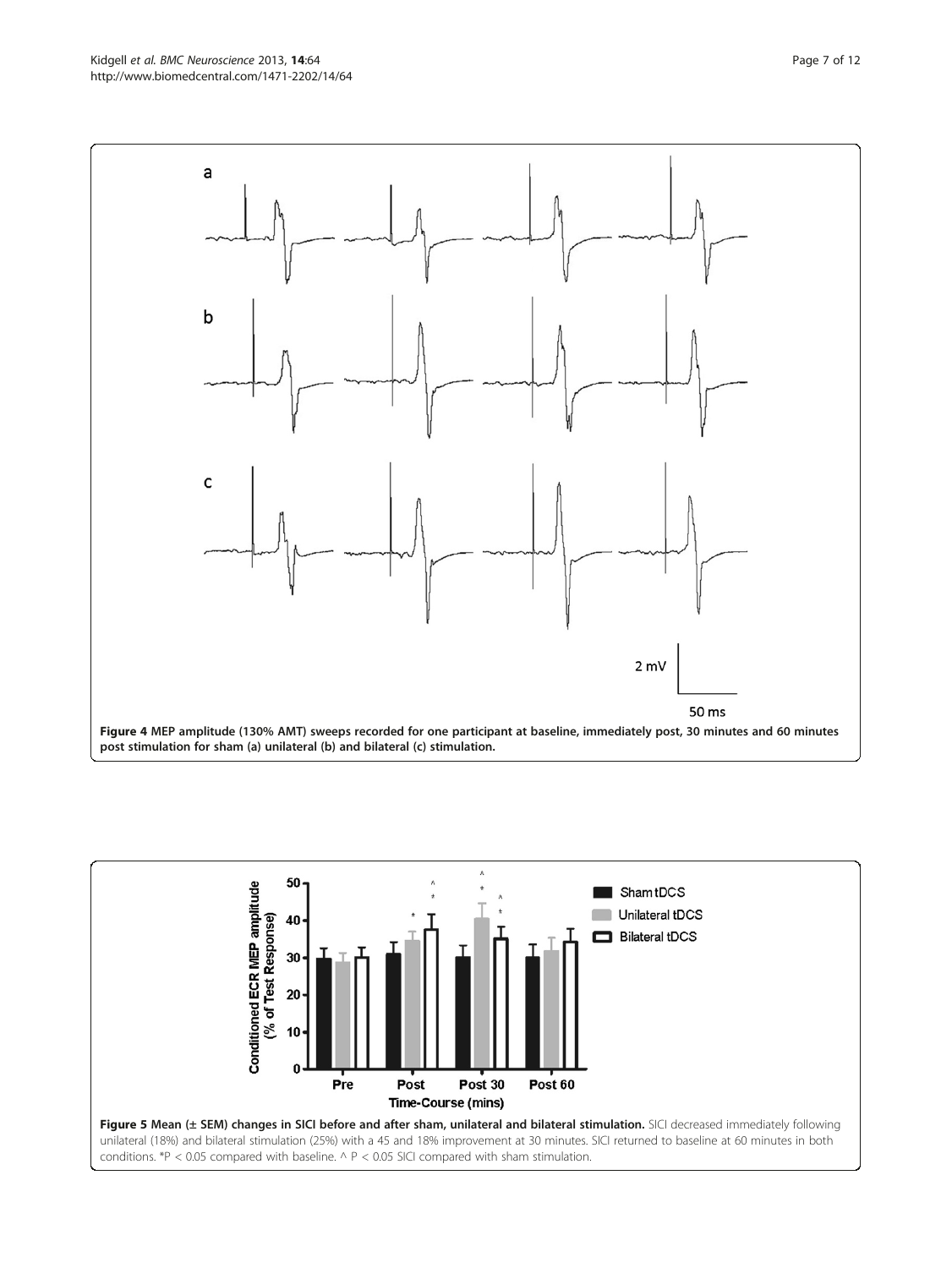<span id="page-6-0"></span>Kidgell et al. BMC Neuroscience 2013, 14:64 Page 7 of 12 http://www.biomedcentral.com/1471-2202/14/64



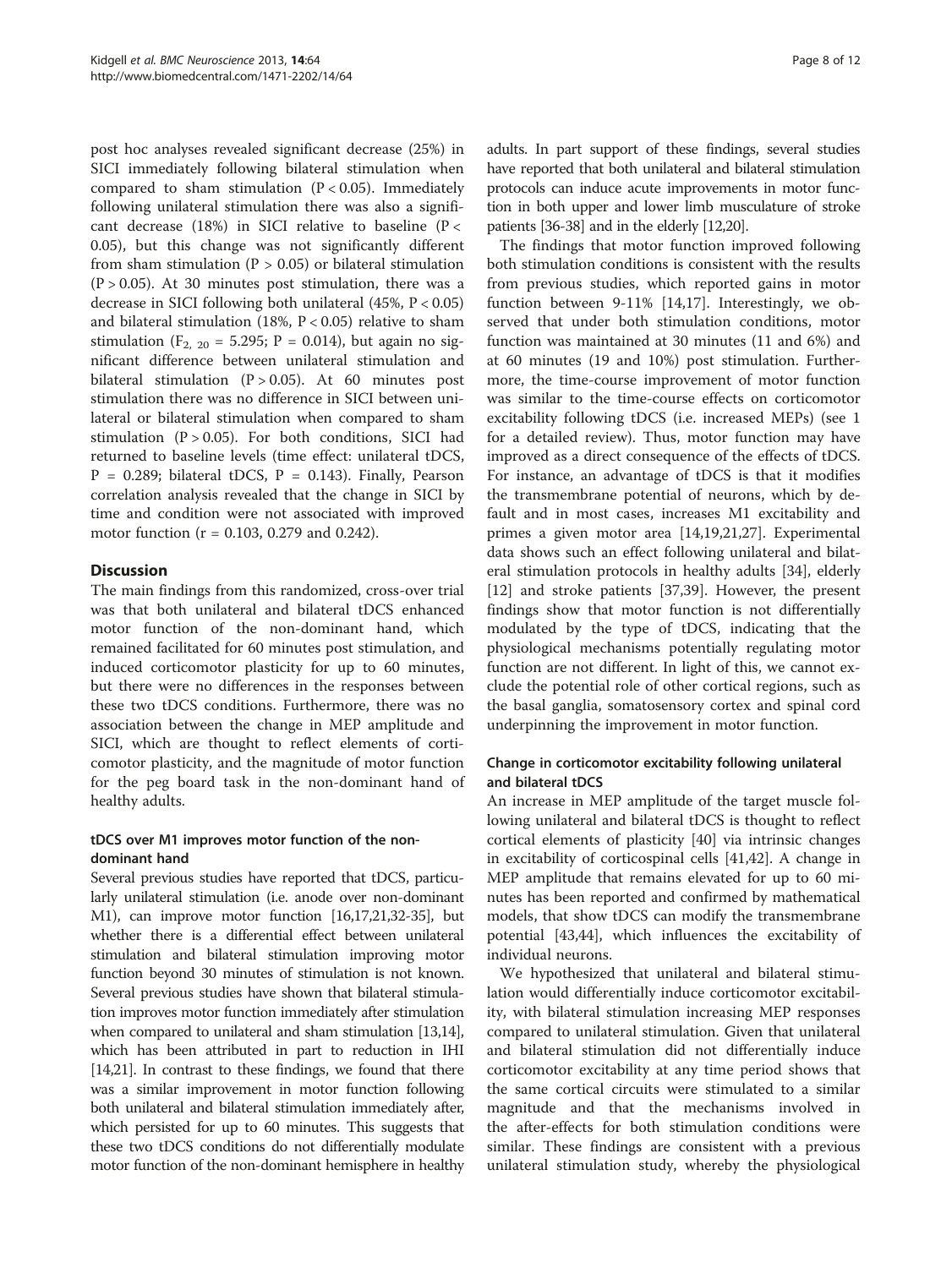post hoc analyses revealed significant decrease (25%) in SICI immediately following bilateral stimulation when compared to sham stimulation  $(P < 0.05)$ . Immediately following unilateral stimulation there was also a significant decrease (18%) in SICI relative to baseline ( $P <$ 0.05), but this change was not significantly different from sham stimulation ( $P > 0.05$ ) or bilateral stimulation  $(P > 0.05)$ . At 30 minutes post stimulation, there was a decrease in SICI following both unilateral (45%, P < 0.05) and bilateral stimulation (18%, P < 0.05) relative to sham stimulation ( $F_{2, 20} = 5.295$ ;  $P = 0.014$ ), but again no significant difference between unilateral stimulation and bilateral stimulation  $(P > 0.05)$ . At 60 minutes post stimulation there was no difference in SICI between unilateral or bilateral stimulation when compared to sham stimulation  $(P > 0.05)$ . For both conditions, SICI had returned to baseline levels (time effect: unilateral tDCS,  $P = 0.289$ ; bilateral tDCS,  $P = 0.143$ ). Finally, Pearson correlation analysis revealed that the change in SICI by time and condition were not associated with improved motor function (r = 0.103, 0.279 and 0.242).

## **Discussion**

The main findings from this randomized, cross-over trial was that both unilateral and bilateral tDCS enhanced motor function of the non-dominant hand, which remained facilitated for 60 minutes post stimulation, and induced corticomotor plasticity for up to 60 minutes, but there were no differences in the responses between these two tDCS conditions. Furthermore, there was no association between the change in MEP amplitude and SICI, which are thought to reflect elements of corticomotor plasticity, and the magnitude of motor function for the peg board task in the non-dominant hand of healthy adults.

#### tDCS over M1 improves motor function of the nondominant hand

Several previous studies have reported that tDCS, particularly unilateral stimulation (i.e. anode over non-dominant M1), can improve motor function [\[16,17,21,32-35\]](#page-10-0), but whether there is a differential effect between unilateral stimulation and bilateral stimulation improving motor function beyond 30 minutes of stimulation is not known. Several previous studies have shown that bilateral stimulation improves motor function immediately after stimulation when compared to unilateral and sham stimulation [[13,14](#page-10-0)], which has been attributed in part to reduction in IHI [[14,21\]](#page-10-0). In contrast to these findings, we found that there was a similar improvement in motor function following both unilateral and bilateral stimulation immediately after, which persisted for up to 60 minutes. This suggests that these two tDCS conditions do not differentially modulate motor function of the non-dominant hemisphere in healthy adults. In part support of these findings, several studies have reported that both unilateral and bilateral stimulation protocols can induce acute improvements in motor function in both upper and lower limb musculature of stroke patients [\[36](#page-10-0)-[38](#page-10-0)] and in the elderly [[12](#page-9-0)[,20\]](#page-10-0).

The findings that motor function improved following both stimulation conditions is consistent with the results from previous studies, which reported gains in motor function between 9-11% [\[14,17\]](#page-10-0). Interestingly, we observed that under both stimulation conditions, motor function was maintained at 30 minutes (11 and 6%) and at 60 minutes (19 and 10%) post stimulation. Furthermore, the time-course improvement of motor function was similar to the time-course effects on corticomotor excitability following tDCS (i.e. increased MEPs) (see 1 for a detailed review). Thus, motor function may have improved as a direct consequence of the effects of tDCS. For instance, an advantage of tDCS is that it modifies the transmembrane potential of neurons, which by default and in most cases, increases M1 excitability and primes a given motor area [\[14,19,21,27](#page-10-0)]. Experimental data shows such an effect following unilateral and bilateral stimulation protocols in healthy adults [\[34](#page-10-0)], elderly [[12\]](#page-9-0) and stroke patients [[37,39\]](#page-10-0). However, the present findings show that motor function is not differentially modulated by the type of tDCS, indicating that the physiological mechanisms potentially regulating motor function are not different. In light of this, we cannot exclude the potential role of other cortical regions, such as the basal ganglia, somatosensory cortex and spinal cord underpinning the improvement in motor function.

## Change in corticomotor excitability following unilateral and bilateral tDCS

An increase in MEP amplitude of the target muscle following unilateral and bilateral tDCS is thought to reflect cortical elements of plasticity [[40](#page-10-0)] via intrinsic changes in excitability of corticospinal cells [[41,42](#page-10-0)]. A change in MEP amplitude that remains elevated for up to 60 minutes has been reported and confirmed by mathematical models, that show tDCS can modify the transmembrane potential [\[43,44\]](#page-10-0), which influences the excitability of individual neurons.

We hypothesized that unilateral and bilateral stimulation would differentially induce corticomotor excitability, with bilateral stimulation increasing MEP responses compared to unilateral stimulation. Given that unilateral and bilateral stimulation did not differentially induce corticomotor excitability at any time period shows that the same cortical circuits were stimulated to a similar magnitude and that the mechanisms involved in the after-effects for both stimulation conditions were similar. These findings are consistent with a previous unilateral stimulation study, whereby the physiological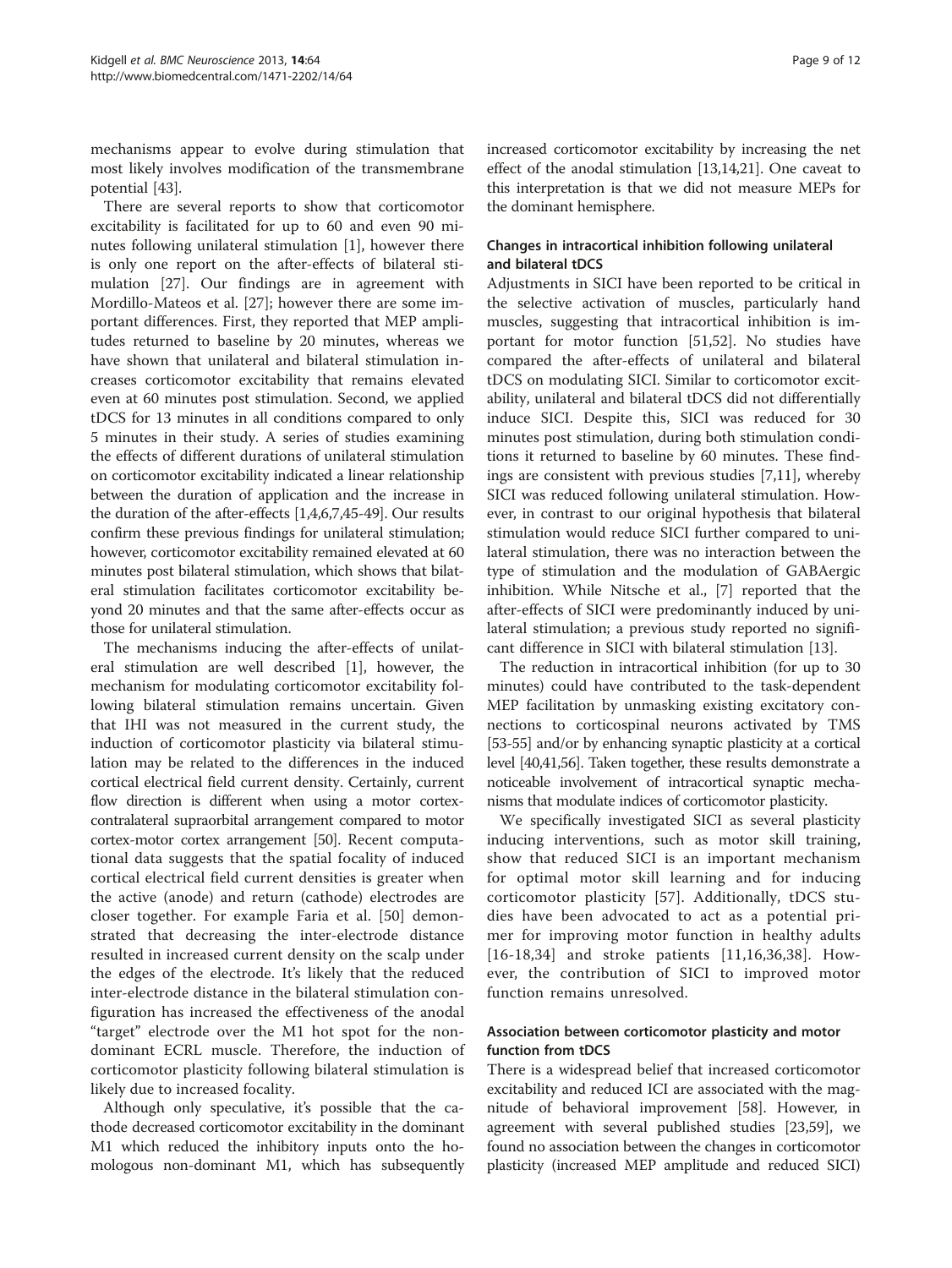mechanisms appear to evolve during stimulation that most likely involves modification of the transmembrane potential [[43\]](#page-10-0).

There are several reports to show that corticomotor excitability is facilitated for up to 60 and even 90 minutes following unilateral stimulation [\[1\]](#page-9-0), however there is only one report on the after-effects of bilateral stimulation [[27](#page-10-0)]. Our findings are in agreement with Mordillo-Mateos et al. [[27](#page-10-0)]; however there are some important differences. First, they reported that MEP amplitudes returned to baseline by 20 minutes, whereas we have shown that unilateral and bilateral stimulation increases corticomotor excitability that remains elevated even at 60 minutes post stimulation. Second, we applied tDCS for 13 minutes in all conditions compared to only 5 minutes in their study. A series of studies examining the effects of different durations of unilateral stimulation on corticomotor excitability indicated a linear relationship between the duration of application and the increase in the duration of the after-effects [\[1,4,6,7,](#page-9-0)[45](#page-10-0)-[49](#page-10-0)]. Our results confirm these previous findings for unilateral stimulation; however, corticomotor excitability remained elevated at 60 minutes post bilateral stimulation, which shows that bilateral stimulation facilitates corticomotor excitability beyond 20 minutes and that the same after-effects occur as those for unilateral stimulation.

The mechanisms inducing the after-effects of unilateral stimulation are well described [\[1](#page-9-0)], however, the mechanism for modulating corticomotor excitability following bilateral stimulation remains uncertain. Given that IHI was not measured in the current study, the induction of corticomotor plasticity via bilateral stimulation may be related to the differences in the induced cortical electrical field current density. Certainly, current flow direction is different when using a motor cortexcontralateral supraorbital arrangement compared to motor cortex-motor cortex arrangement [\[50](#page-10-0)]. Recent computational data suggests that the spatial focality of induced cortical electrical field current densities is greater when the active (anode) and return (cathode) electrodes are closer together. For example Faria et al. [\[50](#page-10-0)] demonstrated that decreasing the inter-electrode distance resulted in increased current density on the scalp under the edges of the electrode. It's likely that the reduced inter-electrode distance in the bilateral stimulation configuration has increased the effectiveness of the anodal "target" electrode over the M1 hot spot for the nondominant ECRL muscle. Therefore, the induction of corticomotor plasticity following bilateral stimulation is likely due to increased focality.

Although only speculative, it's possible that the cathode decreased corticomotor excitability in the dominant M1 which reduced the inhibitory inputs onto the homologous non-dominant M1, which has subsequently increased corticomotor excitability by increasing the net effect of the anodal stimulation [[13,14,21\]](#page-10-0). One caveat to this interpretation is that we did not measure MEPs for the dominant hemisphere.

## Changes in intracortical inhibition following unilateral and bilateral tDCS

Adjustments in SICI have been reported to be critical in the selective activation of muscles, particularly hand muscles, suggesting that intracortical inhibition is important for motor function [[51,52\]](#page-10-0). No studies have compared the after-effects of unilateral and bilateral tDCS on modulating SICI. Similar to corticomotor excitability, unilateral and bilateral tDCS did not differentially induce SICI. Despite this, SICI was reduced for 30 minutes post stimulation, during both stimulation conditions it returned to baseline by 60 minutes. These findings are consistent with previous studies [[7,11\]](#page-9-0), whereby SICI was reduced following unilateral stimulation. However, in contrast to our original hypothesis that bilateral stimulation would reduce SICI further compared to unilateral stimulation, there was no interaction between the type of stimulation and the modulation of GABAergic inhibition. While Nitsche et al., [[7\]](#page-9-0) reported that the after-effects of SICI were predominantly induced by unilateral stimulation; a previous study reported no significant difference in SICI with bilateral stimulation [\[13\]](#page-10-0).

The reduction in intracortical inhibition (for up to 30 minutes) could have contributed to the task-dependent MEP facilitation by unmasking existing excitatory connections to corticospinal neurons activated by TMS [[53](#page-10-0)-[55\]](#page-10-0) and/or by enhancing synaptic plasticity at a cortical level [\[40,41,56](#page-10-0)]. Taken together, these results demonstrate a noticeable involvement of intracortical synaptic mechanisms that modulate indices of corticomotor plasticity.

We specifically investigated SICI as several plasticity inducing interventions, such as motor skill training, show that reduced SICI is an important mechanism for optimal motor skill learning and for inducing corticomotor plasticity [[57\]](#page-11-0). Additionally, tDCS studies have been advocated to act as a potential primer for improving motor function in healthy adults [[16](#page-10-0)-[18](#page-10-0),[34\]](#page-10-0) and stroke patients [[11,](#page-9-0)[16](#page-10-0),[36,38](#page-10-0)]. However, the contribution of SICI to improved motor function remains unresolved.

#### Association between corticomotor plasticity and motor function from tDCS

There is a widespread belief that increased corticomotor excitability and reduced ICI are associated with the magnitude of behavioral improvement [[58](#page-11-0)]. However, in agreement with several published studies [\[23](#page-10-0)[,59\]](#page-11-0), we found no association between the changes in corticomotor plasticity (increased MEP amplitude and reduced SICI)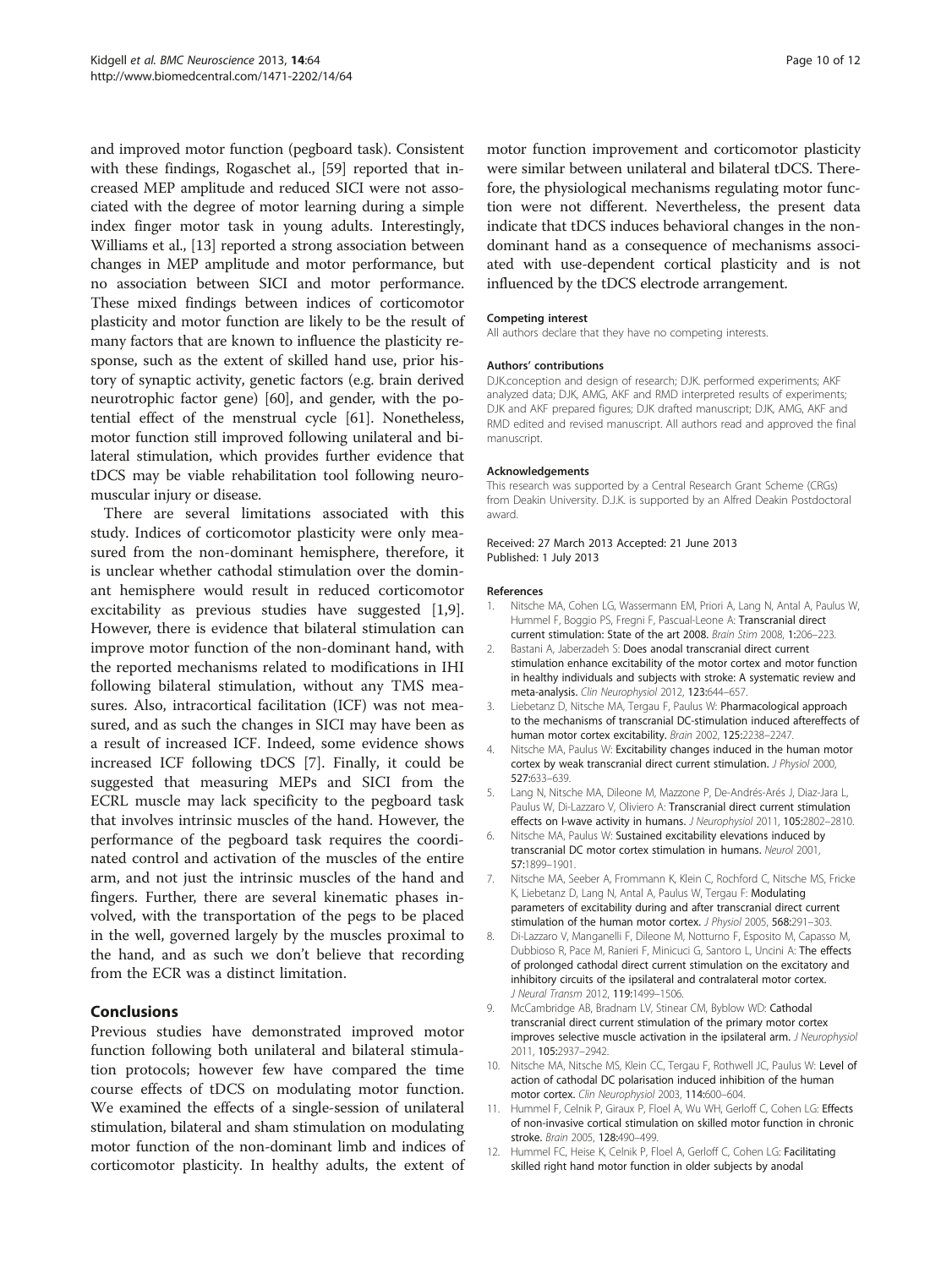<span id="page-9-0"></span>and improved motor function (pegboard task). Consistent with these findings, Rogaschet al., [\[59\]](#page-11-0) reported that increased MEP amplitude and reduced SICI were not associated with the degree of motor learning during a simple index finger motor task in young adults. Interestingly, Williams et al., [[13](#page-10-0)] reported a strong association between changes in MEP amplitude and motor performance, but no association between SICI and motor performance. These mixed findings between indices of corticomotor plasticity and motor function are likely to be the result of many factors that are known to influence the plasticity response, such as the extent of skilled hand use, prior history of synaptic activity, genetic factors (e.g. brain derived neurotrophic factor gene) [[60](#page-11-0)], and gender, with the potential effect of the menstrual cycle [\[61\]](#page-11-0). Nonetheless, motor function still improved following unilateral and bilateral stimulation, which provides further evidence that tDCS may be viable rehabilitation tool following neuromuscular injury or disease.

There are several limitations associated with this study. Indices of corticomotor plasticity were only measured from the non-dominant hemisphere, therefore, it is unclear whether cathodal stimulation over the dominant hemisphere would result in reduced corticomotor excitability as previous studies have suggested [1,9]. However, there is evidence that bilateral stimulation can improve motor function of the non-dominant hand, with the reported mechanisms related to modifications in IHI following bilateral stimulation, without any TMS measures. Also, intracortical facilitation (ICF) was not measured, and as such the changes in SICI may have been as a result of increased ICF. Indeed, some evidence shows increased ICF following tDCS [7]. Finally, it could be suggested that measuring MEPs and SICI from the ECRL muscle may lack specificity to the pegboard task that involves intrinsic muscles of the hand. However, the performance of the pegboard task requires the coordinated control and activation of the muscles of the entire arm, and not just the intrinsic muscles of the hand and fingers. Further, there are several kinematic phases involved, with the transportation of the pegs to be placed in the well, governed largely by the muscles proximal to the hand, and as such we don't believe that recording from the ECR was a distinct limitation.

#### Conclusions

Previous studies have demonstrated improved motor function following both unilateral and bilateral stimulation protocols; however few have compared the time course effects of tDCS on modulating motor function. We examined the effects of a single-session of unilateral stimulation, bilateral and sham stimulation on modulating motor function of the non-dominant limb and indices of corticomotor plasticity. In healthy adults, the extent of

motor function improvement and corticomotor plasticity were similar between unilateral and bilateral tDCS. Therefore, the physiological mechanisms regulating motor function were not different. Nevertheless, the present data indicate that tDCS induces behavioral changes in the nondominant hand as a consequence of mechanisms associated with use-dependent cortical plasticity and is not influenced by the tDCS electrode arrangement.

#### Competing interest

All authors declare that they have no competing interests.

#### Authors' contributions

DJK.conception and design of research; DJK. performed experiments; AKF analyzed data; DJK, AMG, AKF and RMD interpreted results of experiments; DJK and AKF prepared figures; DJK drafted manuscript; DJK, AMG, AKF and RMD edited and revised manuscript. All authors read and approved the final manuscript.

#### Acknowledgements

This research was supported by a Central Research Grant Scheme (CRGs) from Deakin University. D.J.K. is supported by an Alfred Deakin Postdoctoral award.

#### Received: 27 March 2013 Accepted: 21 June 2013 Published: 1 July 2013

#### References

- 1. Nitsche MA, Cohen LG, Wassermann EM, Priori A, Lang N, Antal A, Paulus W, Hummel F, Boggio PS, Fregni F, Pascual-Leone A: Transcranial direct current stimulation: State of the art 2008. Brain Stim 2008, 1:206–223.
- 2. Bastani A, Jaberzadeh S: Does anodal transcranial direct current stimulation enhance excitability of the motor cortex and motor function in healthy individuals and subjects with stroke: A systematic review and meta-analysis. Clin Neurophysiol 2012, 123:644–657.
- 3. Liebetanz D, Nitsche MA, Tergau F, Paulus W: Pharmacological approach to the mechanisms of transcranial DC-stimulation induced aftereffects of human motor cortex excitability. Brain 2002, 125:2238–2247.
- 4. Nitsche MA, Paulus W: Excitability changes induced in the human motor cortex by weak transcranial direct current stimulation. J Physiol 2000, 527:633–639.
- 5. Lang N, Nitsche MA, Dileone M, Mazzone P, De-Andrés-Arés J, Diaz-Jara L, Paulus W, Di-Lazzaro V, Oliviero A: Transcranial direct current stimulation effects on I-wave activity in humans. J Neurophysiol 2011, 105:2802–2810.
- 6. Nitsche MA, Paulus W: Sustained excitability elevations induced by transcranial DC motor cortex stimulation in humans. Neurol 2001, 57:1899–1901.
- 7. Nitsche MA, Seeber A, Frommann K, Klein C, Rochford C, Nitsche MS, Fricke K, Liebetanz D, Lang N, Antal A, Paulus W, Tergau F: Modulating parameters of excitability during and after transcranial direct current stimulation of the human motor cortex. J Physiol 2005, 568:291–303.
- 8. Di-Lazzaro V, Manganelli F, Dileone M, Notturno F, Esposito M, Capasso M, Dubbioso R, Pace M, Ranieri F, Minicuci G, Santoro L, Uncini A: The effects of prolonged cathodal direct current stimulation on the excitatory and inhibitory circuits of the ipsilateral and contralateral motor cortex. J Neural Transm 2012, 119:1499–1506.
- 9. McCambridge AB, Bradnam LV, Stinear CM, Byblow WD: Cathodal transcranial direct current stimulation of the primary motor cortex improves selective muscle activation in the ipsilateral arm. J Neurophysiol 2011, 105:2937–2942.
- 10. Nitsche MA, Nitsche MS, Klein CC, Tergau F, Rothwell JC, Paulus W: Level of action of cathodal DC polarisation induced inhibition of the human motor cortex. Clin Neurophysiol 2003, 114:600–604.
- 11. Hummel F, Celnik P, Giraux P, Floel A, Wu WH, Gerloff C, Cohen LG: Effects of non-invasive cortical stimulation on skilled motor function in chronic stroke. Brain 2005, 128:490–499.
- 12. Hummel FC, Heise K, Celnik P, Floel A, Gerloff C, Cohen LG: Facilitating skilled right hand motor function in older subjects by anodal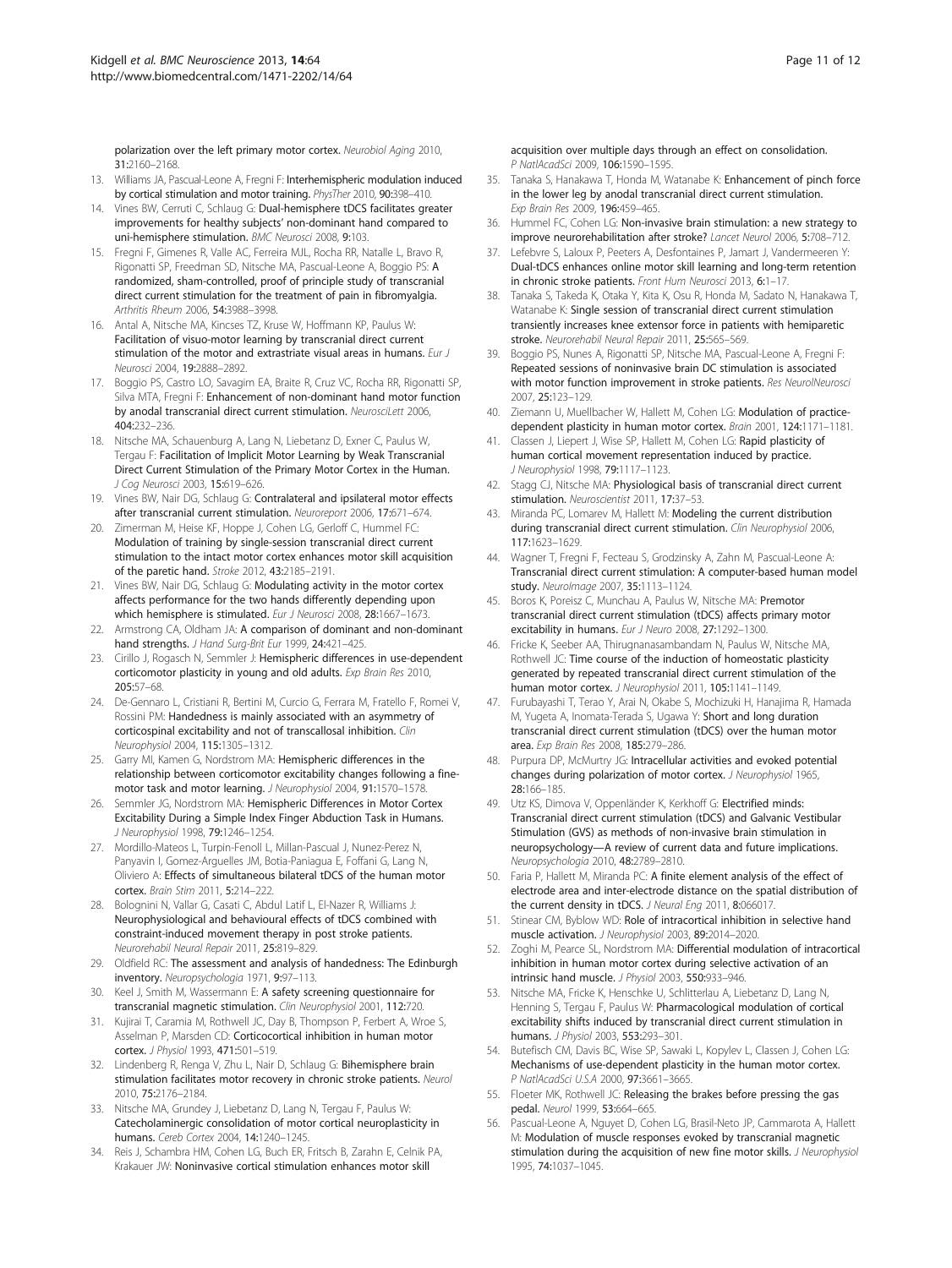<span id="page-10-0"></span>polarization over the left primary motor cortex. Neurobiol Aging 2010, 31:2160–2168.

- 13. Williams JA, Pascual-Leone A, Fregni F: Interhemispheric modulation induced by cortical stimulation and motor training. PhysTher 2010, 90:398–410.
- 14. Vines BW, Cerruti C, Schlaug G: Dual-hemisphere tDCS facilitates greater improvements for healthy subjects' non-dominant hand compared to uni-hemisphere stimulation. BMC Neurosci 2008, 9:103.
- 15. Fregni F, Gimenes R, Valle AC, Ferreira MJL, Rocha RR, Natalle L, Bravo R, Rigonatti SP, Freedman SD, Nitsche MA, Pascual-Leone A, Boggio PS: A randomized, sham-controlled, proof of principle study of transcranial direct current stimulation for the treatment of pain in fibromyalgia. Arthritis Rheum 2006, 54:3988–3998.
- 16. Antal A, Nitsche MA, Kincses TZ, Kruse W, Hoffmann KP, Paulus W: Facilitation of visuo-motor learning by transcranial direct current stimulation of the motor and extrastriate visual areas in humans. Eur J Neurosci 2004, 19:2888–2892.
- 17. Boggio PS, Castro LO, Savagim EA, Braite R, Cruz VC, Rocha RR, Rigonatti SP, Silva MTA, Fregni F: Enhancement of non-dominant hand motor function by anodal transcranial direct current stimulation. Neuroscil ett 2006, 404:232–236.
- 18. Nitsche MA, Schauenburg A, Lang N, Liebetanz D, Exner C, Paulus W, Tergau F: Facilitation of Implicit Motor Learning by Weak Transcranial Direct Current Stimulation of the Primary Motor Cortex in the Human. J Cog Neurosci 2003, 15:619–626.
- 19. Vines BW, Nair DG, Schlaug G: Contralateral and ipsilateral motor effects after transcranial current stimulation. Neuroreport 2006, 17:671–674.
- 20. Zimerman M, Heise KF, Hoppe J, Cohen LG, Gerloff C, Hummel FC: Modulation of training by single-session transcranial direct current stimulation to the intact motor cortex enhances motor skill acquisition of the paretic hand. Stroke 2012, 43:2185–2191.
- 21. Vines BW, Nair DG, Schlaug G: Modulating activity in the motor cortex affects performance for the two hands differently depending upon which hemisphere is stimulated. Eur J Neurosci 2008, 28:1667-1673.
- 22. Armstrong CA, Oldham JA: A comparison of dominant and non-dominant hand strengths. J Hand Surg-Brit Eur 1999, 24:421-425.
- 23. Cirillo J, Rogasch N, Semmler J: Hemispheric differences in use-dependent corticomotor plasticity in young and old adults. Exp Brain Res 2010, 205:57–68.
- 24. De-Gennaro L, Cristiani R, Bertini M, Curcio G, Ferrara M, Fratello F, Romei V, Rossini PM: Handedness is mainly associated with an asymmetry of corticospinal excitability and not of transcallosal inhibition. Clin Neurophysiol 2004, 115:1305–1312.
- 25. Garry MI, Kamen G, Nordstrom MA: Hemispheric differences in the relationship between corticomotor excitability changes following a finemotor task and motor learning. J Neurophysiol 2004, 91:1570–1578.
- 26. Semmler JG, Nordstrom MA: Hemispheric Differences in Motor Cortex Excitability During a Simple Index Finger Abduction Task in Humans. J Neurophysiol 1998, 79:1246–1254.
- 27. Mordillo-Mateos L, Turpin-Fenoll L, Millan-Pascual J, Nunez-Perez N, Panyavin I, Gomez-Arguelles JM, Botia-Paniagua E, Foffani G, Lang N, Oliviero A: Effects of simultaneous bilateral tDCS of the human motor cortex. Brain Stim 2011, 5:214–222.
- 28. Bolognini N, Vallar G, Casati C, Abdul Latif L, El-Nazer R, Williams J: Neurophysiological and behavioural effects of tDCS combined with constraint-induced movement therapy in post stroke patients. Neurorehabil Neural Repair 2011, 25:819–829.
- 29. Oldfield RC: The assessment and analysis of handedness: The Edinburgh inventory. Neuropsychologia 1971, 9:97–113.
- 30. Keel J, Smith M, Wassermann E: A safety screening questionnaire for transcranial magnetic stimulation. Clin Neurophysiol 2001, 112:720.
- 31. Kujirai T, Caramia M, Rothwell JC, Day B, Thompson P, Ferbert A, Wroe S, Asselman P, Marsden CD: Corticocortical inhibition in human motor cortex. J Physiol 1993, 471:501-519.
- 32. Lindenberg R, Renga V, Zhu L, Nair D, Schlaug G: Bihemisphere brain stimulation facilitates motor recovery in chronic stroke patients. Neurol 2010, 75:2176–2184.
- 33. Nitsche MA, Grundey J, Liebetanz D, Lang N, Tergau F, Paulus W: Catecholaminergic consolidation of motor cortical neuroplasticity in humans. Cereb Cortex 2004, 14:1240–1245.
- 34. Reis J, Schambra HM, Cohen LG, Buch ER, Fritsch B, Zarahn E, Celnik PA, Krakauer JW: Noninvasive cortical stimulation enhances motor skill

acquisition over multiple days through an effect on consolidation. P NatlAcadSci 2009, 106:1590–1595.

- 35. Tanaka S, Hanakawa T, Honda M, Watanabe K: Enhancement of pinch force in the lower leg by anodal transcranial direct current stimulation. Exp Brain Res 2009, 196:459–465.
- Hummel FC, Cohen LG: Non-invasive brain stimulation: a new strategy to improve neurorehabilitation after stroke? Lancet Neurol 2006, 5:708–712.
- 37. Lefebvre S, Laloux P, Peeters A, Desfontaines P, Jamart J, Vandermeeren Y: Dual-tDCS enhances online motor skill learning and long-term retention in chronic stroke patients. Front Hum Neurosci 2013, 6:1–17.
- 38. Tanaka S, Takeda K, Otaka Y, Kita K, Osu R, Honda M, Sadato N, Hanakawa T, Watanabe K: Single session of transcranial direct current stimulation transiently increases knee extensor force in patients with hemiparetic stroke. Neurorehabil Neural Repair 2011, 25:565–569.
- Boggio PS, Nunes A, Rigonatti SP, Nitsche MA, Pascual-Leone A, Fregni F: Repeated sessions of noninvasive brain DC stimulation is associated with motor function improvement in stroke patients. Res NeurolNeurosci 2007, 25:123–129.
- 40. Ziemann U, Muellbacher W, Hallett M, Cohen LG: Modulation of practicedependent plasticity in human motor cortex. Brain 2001, 124:1171–1181.
- 41. Classen J, Liepert J, Wise SP, Hallett M, Cohen LG: Rapid plasticity of human cortical movement representation induced by practice. J Neurophysiol 1998, 79:1117–1123.
- 42. Stagg CJ, Nitsche MA: Physiological basis of transcranial direct current stimulation. Neuroscientist 2011, 17:37–53.
- 43. Miranda PC, Lomarev M, Hallett M: Modeling the current distribution during transcranial direct current stimulation. Clin Neurophysiol 2006, 117:1623–1629.
- 44. Wagner T, Fregni F, Fecteau S, Grodzinsky A, Zahn M, Pascual-Leone A: Transcranial direct current stimulation: A computer-based human model study. NeuroImage 2007, 35:1113-1124.
- 45. Boros K, Poreisz C, Munchau A, Paulus W, Nitsche MA: Premotor transcranial direct current stimulation (tDCS) affects primary motor excitability in humans. Eur J Neuro 2008, 27:1292-1300.
- 46. Fricke K, Seeber AA, Thirugnanasambandam N, Paulus W, Nitsche MA, Rothwell JC: Time course of the induction of homeostatic plasticity generated by repeated transcranial direct current stimulation of the human motor cortex. J Neurophysiol 2011, 105:1141–1149.
- 47. Furubayashi T, Terao Y, Arai N, Okabe S, Mochizuki H, Hanajima R, Hamada M, Yugeta A, Inomata-Terada S, Ugawa Y: Short and long duration transcranial direct current stimulation (tDCS) over the human motor area. Exp Brain Res 2008, 185:279–286.
- 48. Purpura DP, McMurtry JG: Intracellular activities and evoked potential changes during polarization of motor cortex. J Neurophysiol 1965, 28:166–185.
- 49. Utz KS, Dimova V, Oppenländer K, Kerkhoff G: Electrified minds: Transcranial direct current stimulation (tDCS) and Galvanic Vestibular Stimulation (GVS) as methods of non-invasive brain stimulation in neuropsychology—A review of current data and future implications. Neuropsychologia 2010, 48:2789-2810.
- 50. Faria P, Hallett M, Miranda PC: A finite element analysis of the effect of electrode area and inter-electrode distance on the spatial distribution of the current density in tDCS. J Neural Eng 2011, 8:066017.
- 51. Stinear CM, Byblow WD: Role of intracortical inhibition in selective hand muscle activation. J Neurophysiol 2003, 89:2014–2020.
- 52. Zoghi M, Pearce SL, Nordstrom MA: Differential modulation of intracortical inhibition in human motor cortex during selective activation of an intrinsic hand muscle. J Physiol 2003, 550:933–946.
- 53. Nitsche MA, Fricke K, Henschke U, Schlitterlau A, Liebetanz D, Lang N, Henning S, Tergau F, Paulus W: Pharmacological modulation of cortical excitability shifts induced by transcranial direct current stimulation in humans. J Physiol 2003, 553:293–301.
- 54. Butefisch CM, Davis BC, Wise SP, Sawaki L, Kopylev L, Classen J, Cohen LG: Mechanisms of use-dependent plasticity in the human motor cortex. P NatlAcadSci U.S.A 2000, 97:3661–3665.
- 55. Floeter MK, Rothwell JC: Releasing the brakes before pressing the gas pedal. Neurol 1999, 53:664–665.
- Pascual-Leone A, Nguyet D, Cohen LG, Brasil-Neto JP, Cammarota A, Hallett M: Modulation of muscle responses evoked by transcranial magnetic stimulation during the acquisition of new fine motor skills. J Neurophysiol 1995, 74:1037–1045.